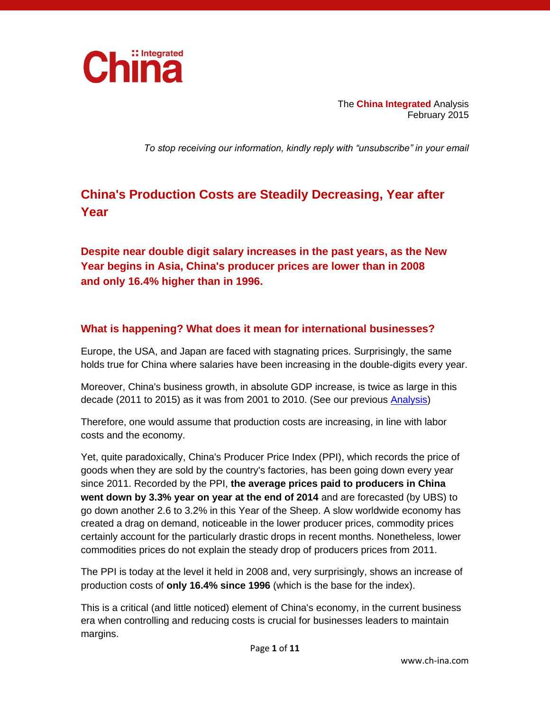

The **China Integrated** Analysis February 2015

*To stop receiving our information, kindly reply with "unsubscribe" in your email*

## **China's Production Costs are Steadily Decreasing, Year after Year**

**Despite near double digit salary increases in the past years, as the New Year begins in Asia, China's producer prices are lower than in 2008 and only 16.4% higher than in 1996.**

## **What is happening? What does it mean for international businesses?**

Europe, the USA, and Japan are faced with stagnating prices. Surprisingly, the same holds true for China where salaries have been increasing in the double-digits every year.

Moreover, China's business growth, in absolute GDP increase, is twice as large in this decade (2011 to 2015) as it was from 2001 to 2010. (See our previous [Analysis\)](http://www.ch-ina.com/publications/analysis/chinas-economy-is-not-slowing-for-businesses/)

Therefore, one would assume that production costs are increasing, in line with labor costs and the economy.

Yet, quite paradoxically, China's Producer Price Index (PPI), which records the price of goods when they are sold by the country's factories, has been going down every year since 2011. Recorded by the PPI, **the average prices paid to producers in China went down by 3.3% year on year at the end of 2014** and are forecasted (by UBS) to go down another 2.6 to 3.2% in this Year of the Sheep. A slow worldwide economy has created a drag on demand, noticeable in the lower producer prices, commodity prices certainly account for the particularly drastic drops in recent months. Nonetheless, lower commodities prices do not explain the steady drop of producers prices from 2011.

The PPI is today at the level it held in 2008 and, very surprisingly, shows an increase of production costs of **only 16.4% since 1996** (which is the base for the index).

This is a critical (and little noticed) element of China's economy, in the current business era when controlling and reducing costs is crucial for businesses leaders to maintain margins.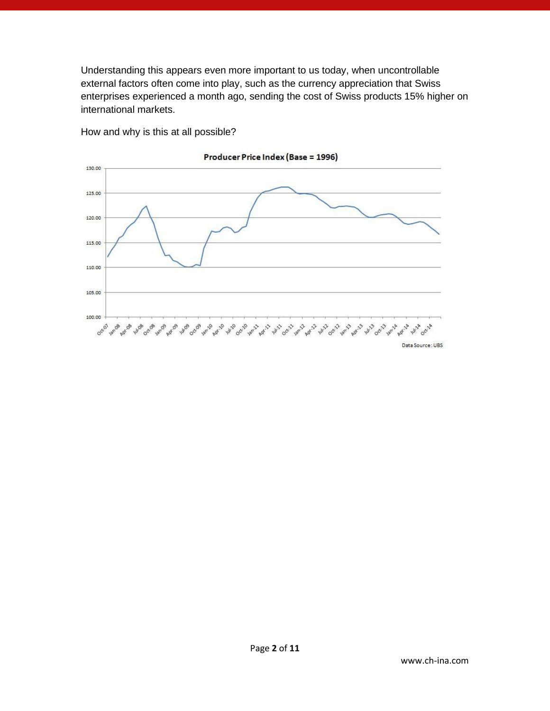Understanding this appears even more important to us today, when uncontrollable external factors often come into play, such as the currency appreciation that Swiss enterprises experienced a month ago, sending the cost of Swiss products 15% higher on international markets.



How and why is this at all possible?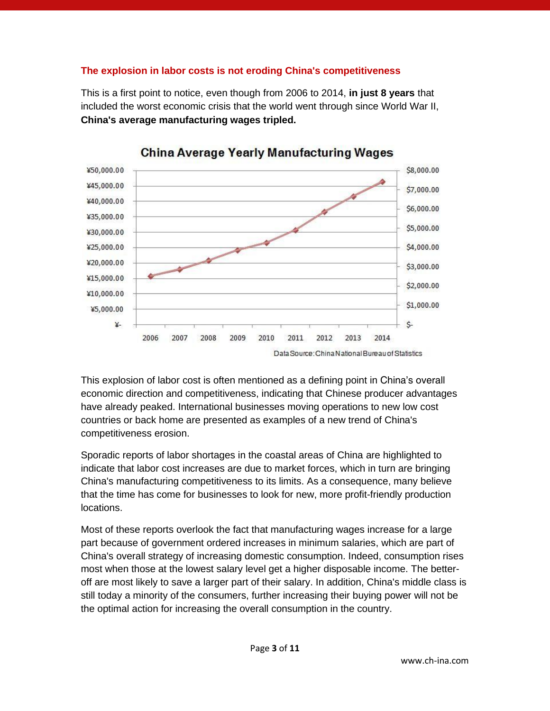### **The explosion in labor costs is not eroding China's competitiveness**

This is a first point to notice, even though from 2006 to 2014, **in just 8 years** that included the worst economic crisis that the world went through since World War II, **China's average manufacturing wages tripled.**



## **China Average Yearly Manufacturing Wages**

This explosion of labor cost is often mentioned as a defining point in China's overall economic direction and competitiveness, indicating that Chinese producer advantages have already peaked. International businesses moving operations to new low cost countries or back home are presented as examples of a new trend of China's competitiveness erosion.

Sporadic reports of labor shortages in the coastal areas of China are highlighted to indicate that labor cost increases are due to market forces, which in turn are bringing China's manufacturing competitiveness to its limits. As a consequence, many believe that the time has come for businesses to look for new, more profit-friendly production locations.

Most of these reports overlook the fact that manufacturing wages increase for a large part because of government ordered increases in minimum salaries, which are part of China's overall strategy of increasing domestic consumption. Indeed, consumption rises most when those at the lowest salary level get a higher disposable income. The betteroff are most likely to save a larger part of their salary. In addition, China's middle class is still today a minority of the consumers, further increasing their buying power will not be the optimal action for increasing the overall consumption in the country.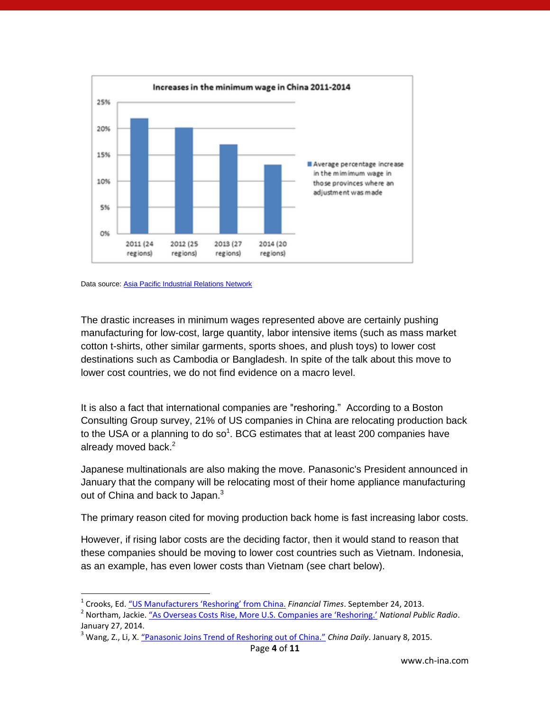



 $\overline{\phantom{a}}$ 

The drastic increases in minimum wages represented above are certainly pushing manufacturing for low-cost, large quantity, labor intensive items (such as mass market cotton t-shirts, other similar garments, sports shoes, and plush toys) to lower cost destinations such as Cambodia or Bangladesh. In spite of the talk about this move to lower cost countries, we do not find evidence on a macro level.

It is also a fact that international companies are "reshoring." According to a Boston Consulting Group survey, 21% of US companies in China are relocating production back to the USA or a planning to do so<sup>1</sup>. BCG estimates that at least 200 companies have already moved back.<sup>2</sup>

Japanese multinationals are also making the move. Panasonic's President announced in January that the company will be relocating most of their home appliance manufacturing out of China and back to Japan.<sup>3</sup>

The primary reason cited for moving production back home is fast increasing labor costs.

However, if rising labor costs are the deciding factor, then it would stand to reason that these companies should be moving to lower cost countries such as Vietnam. Indonesia, as an example, has even lower costs than Vietnam (see chart below).

<sup>&</sup>lt;sup>1</sup> Crooks, Ed. <u>"US Manufacturers 'R[eshoring' from China.](http://www.ft.com/cms/s/0/e14d6cae-249d-11e3-8905-00144feab7de.html#axzz3RleBh2MN)</u> *Financial Times*. September 24, 2013.

<sup>2</sup> Northam, Jackie. ["As Overseas Costs Rise, More U.S. Companies are 'Reshoring.'](http://www.npr.org/blogs/parallels/2014/01/22/265080779/as-overseas-costs-rise-more-u-s-companies-are-reshoring) *National Public Radio*. January 27, 2014.

<sup>3</sup> Wang, Z., Li, X. ["Panasonic Joins Trend of Reshoring out of China."](http://www.chinadaily.com.cn/business/tech/2015-01/08/content_19268443.htm) *China Daily*. January 8, 2015.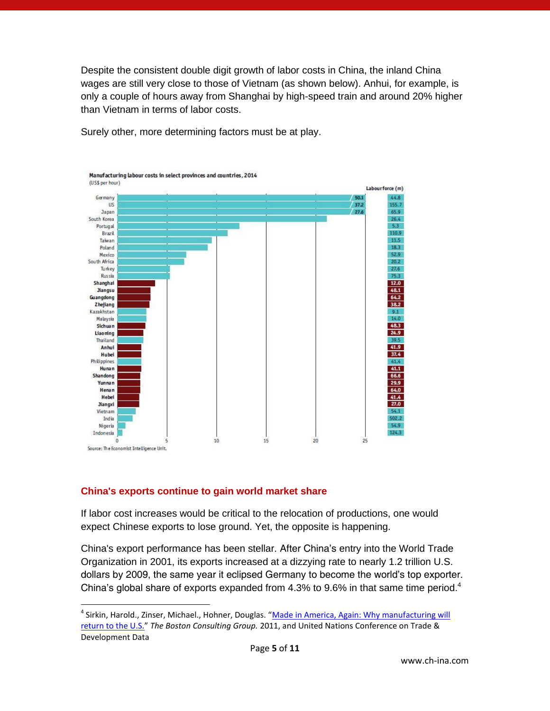Despite the consistent double digit growth of labor costs in China, the inland China wages are still very close to those of Vietnam (as shown below). Anhui, for example, is only a couple of hours away from Shanghai by high-speed train and around 20% higher than Vietnam in terms of labor costs.



Surely other, more determining factors must be at play.

### **China's exports continue to gain world market share**

 $\overline{\phantom{a}}$ 

If labor cost increases would be critical to the relocation of productions, one would expect Chinese exports to lose ground. Yet, the opposite is happening.

China's export performance has been stellar. After China's entry into the World Trade Organization in 2001, its exports increased at a dizzying rate to nearly 1.2 trillion U.S. dollars by 2009, the same year it eclipsed Germany to become the world's top exporter. China's global share of exports expanded from 4.3% to 9.6% in that same time period.<sup>4</sup>

<sup>&</sup>lt;sup>4</sup> Sirkin, Harold., Zinser, Michael., Hohner, Douglas. "<u>Made in America, Again: Why manufacturing will</u> [return to the U.S.](http://www.bcg.com/documents/file84471.pdf)" *The Boston Consulting Group.* 2011, and United Nations Conference on Trade & Development Data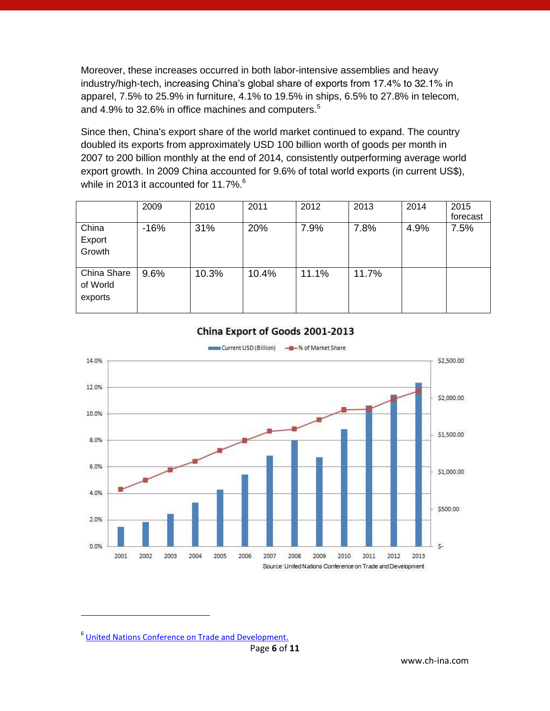Moreover, these increases occurred in both labor-intensive assemblies and heavy industry/high-tech, increasing China's global share of exports from 17.4% to 32.1% in apparel, 7.5% to 25.9% in furniture, 4.1% to 19.5% in ships, 6.5% to 27.8% in telecom, and 4.9% to 32.6% in office machines and computers.<sup>5</sup>

Since then, China's export share of the world market continued to expand. The country doubled its exports from approximately USD 100 billion worth of goods per month in 2007 to 200 billion monthly at the end of 2014, consistently outperforming average world export growth. In 2009 China accounted for 9.6% of total world exports (in current US\$), while in 2013 it accounted for 11.7%.<sup>6</sup>

|                                    | 2009   | 2010  | 2011  | 2012  | 2013  | 2014 | 2015<br>forecast |
|------------------------------------|--------|-------|-------|-------|-------|------|------------------|
| China<br>Export<br>Growth          | $-16%$ | 31%   | 20%   | 7.9%  | 7.8%  | 4.9% | 7.5%             |
| China Share<br>of World<br>exports | 9.6%   | 10.3% | 10.4% | 11.1% | 11.7% |      |                  |



#### China Export of Goods 2001-2013

<sup>&</sup>lt;sup>6</sup> [United Nations Conference on Trade and Development.](http://unctadstat.unctad.org/EN/)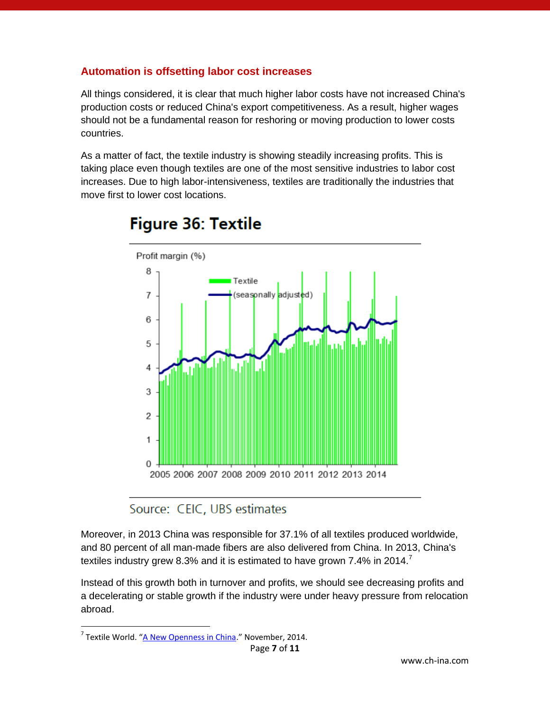## **Automation is offsetting labor cost increases**

All things considered, it is clear that much higher labor costs have not increased China's production costs or reduced China's export competitiveness. As a result, higher wages should not be a fundamental reason for reshoring or moving production to lower costs countries.

As a matter of fact, the textile industry is showing steadily increasing profits. This is taking place even though textiles are one of the most sensitive industries to labor cost increases. Due to high labor-intensiveness, textiles are traditionally the industries that move first to lower cost locations.



# Figure 36: Textile

Source: CEIC, UBS estimates

Moreover, in 2013 China was responsible for 37.1% of all textiles produced worldwide, and 80 percent of all man-made fibers are also delivered from China. In 2013, China's textiles industry grew 8.3% and it is estimated to have grown 7.4% in 2014.<sup>7</sup>

Instead of this growth both in turnover and profits, we should see decreasing profits and a decelerating or stable growth if the industry were under heavy pressure from relocation abroad.

<sup>&</sup>lt;sup>7</sup> Textile World. "<u>[A New Openness in China](http://www.textileworld.com/Issues/2014/November_December/Features/A_New_Openness_In_China)</u>." November, 2014.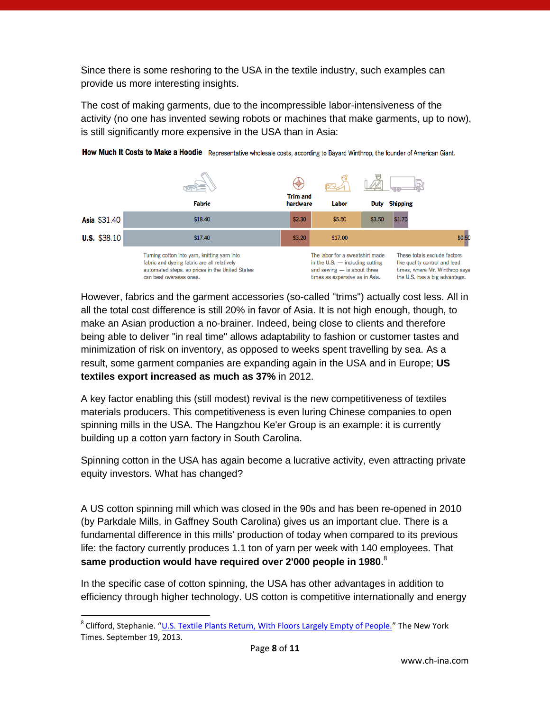Since there is some reshoring to the USA in the textile industry, such examples can provide us more interesting insights.

The cost of making garments, due to the incompressible labor-intensiveness of the activity (no one has invented sewing robots or machines that make garments, up to now), is still significantly more expensive in the USA than in Asia:



How Much It Costs to Make a Hoodie Representative wholesale costs, according to Bayard Winthrop, the founder of American Giant.

However, fabrics and the garment accessories (so-called "trims") actually cost less. All in all the total cost difference is still 20% in favor of Asia. It is not high enough, though, to make an Asian production a no-brainer. Indeed, being close to clients and therefore being able to deliver "in real time" allows adaptability to fashion or customer tastes and minimization of risk on inventory, as opposed to weeks spent travelling by sea. As a result, some garment companies are expanding again in the USA and in Europe; **US textiles export increased as much as 37%** in 2012.

A key factor enabling this (still modest) revival is the new competitiveness of textiles materials producers. This competitiveness is even luring Chinese companies to open spinning mills in the USA. The Hangzhou Ke'er Group is an example: it is currently building up a cotton yarn factory in South Carolina.

Spinning cotton in the USA has again become a lucrative activity, even attracting private equity investors. What has changed?

A US cotton spinning mill which was closed in the 90s and has been re-opened in 2010 (by Parkdale Mills, in Gaffney South Carolina) gives us an important clue. There is a fundamental difference in this mills' production of today when compared to its previous life: the factory currently produces 1.1 ton of yarn per week with 140 employees. That **same production would have required over 2'000 people in 1980**. 8

In the specific case of cotton spinning, the USA has other advantages in addition to efficiency through higher technology. US cotton is competitive internationally and energy

<sup>&</sup>lt;sup>8</sup> Clifford, Stephanie. "<u>[U.S. Textile Plants Return, With Floors Largely Empty of People.](http://www.nytimes.com/2013/09/20/business/us-textile-factories-return.html?pagewanted%3Dall&_r=0)</u>" The New York Times. September 19, 2013.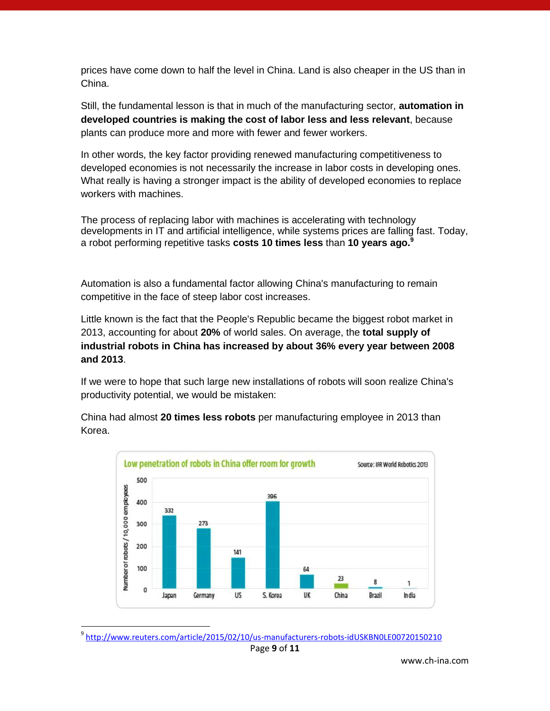prices have come down to half the level in China. Land is also cheaper in the US than in China.

Still, the fundamental lesson is that in much of the manufacturing sector, **automation in developed countries is making the cost of labor less and less relevant**, because plants can produce more and more with fewer and fewer workers.

In other words, the key factor providing renewed manufacturing competitiveness to developed economies is not necessarily the increase in labor costs in developing ones. What really is having a stronger impact is the ability of developed economies to replace workers with machines.

The process of replacing labor with machines is accelerating with technology developments in IT and artificial intelligence, while systems prices are falling fast. Today, a robot performing repetitive tasks **costs 10 times less** than **10 years ago.<sup>9</sup>**

Automation is also a fundamental factor allowing China's manufacturing to remain competitive in the face of steep labor cost increases.

Little known is the fact that the People's Republic became the biggest robot market in 2013, accounting for about **20%** of world sales. On average, the **total supply of industrial robots in China has increased by about 36% every year between 2008 and 2013**.

If we were to hope that such large new installations of robots will soon realize China's productivity potential, we would be mistaken:

China had almost **20 times less robots** per manufacturing employee in 2013 than Korea.



<sup>&</sup>lt;sup>9</sup> <http://www.reuters.com/article/2015/02/10/us-manufacturers-robots-idUSKBN0LE00720150210>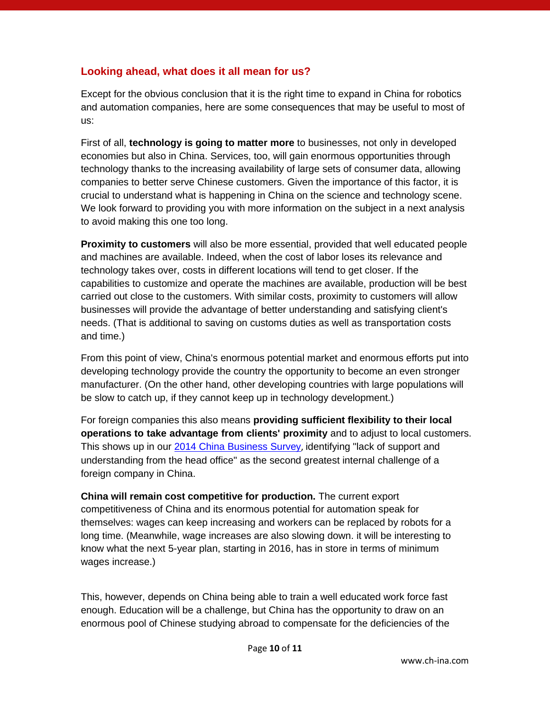## **Looking ahead, what does it all mean for us?**

Except for the obvious conclusion that it is the right time to expand in China for robotics and automation companies, here are some consequences that may be useful to most of us:

First of all, **technology is going to matter more** to businesses, not only in developed economies but also in China. Services, too, will gain enormous opportunities through technology thanks to the increasing availability of large sets of consumer data, allowing companies to better serve Chinese customers. Given the importance of this factor, it is crucial to understand what is happening in China on the science and technology scene. We look forward to providing you with more information on the subject in a next analysis to avoid making this one too long.

**Proximity to customers** will also be more essential, provided that well educated people and machines are available. Indeed, when the cost of labor loses its relevance and technology takes over, costs in different locations will tend to get closer. If the capabilities to customize and operate the machines are available, production will be best carried out close to the customers. With similar costs, proximity to customers will allow businesses will provide the advantage of better understanding and satisfying client's needs. (That is additional to saving on customs duties as well as transportation costs and time.)

From this point of view, China's enormous potential market and enormous efforts put into developing technology provide the country the opportunity to become an even stronger manufacturer. (On the other hand, other developing countries with large populations will be slow to catch up, if they cannot keep up in technology development.)

For foreign companies this also means **providing sufficient flexibility to their local operations to take advantage from clients' proximity** and to adjust to local customers. This shows up in our [2014 China Business Survey](http://www.ch-ina.com/publications/books/2014-ceibs-china-business-survey/), identifying "lack of support and understanding from the head office" as the second greatest internal challenge of a foreign company in China.

**China will remain cost competitive for production.** The current export competitiveness of China and its enormous potential for automation speak for themselves: wages can keep increasing and workers can be replaced by robots for a long time. (Meanwhile, wage increases are also slowing down. it will be interesting to know what the next 5-year plan, starting in 2016, has in store in terms of minimum wages increase.)

This, however, depends on China being able to train a well educated work force fast enough. Education will be a challenge, but China has the opportunity to draw on an enormous pool of Chinese studying abroad to compensate for the deficiencies of the